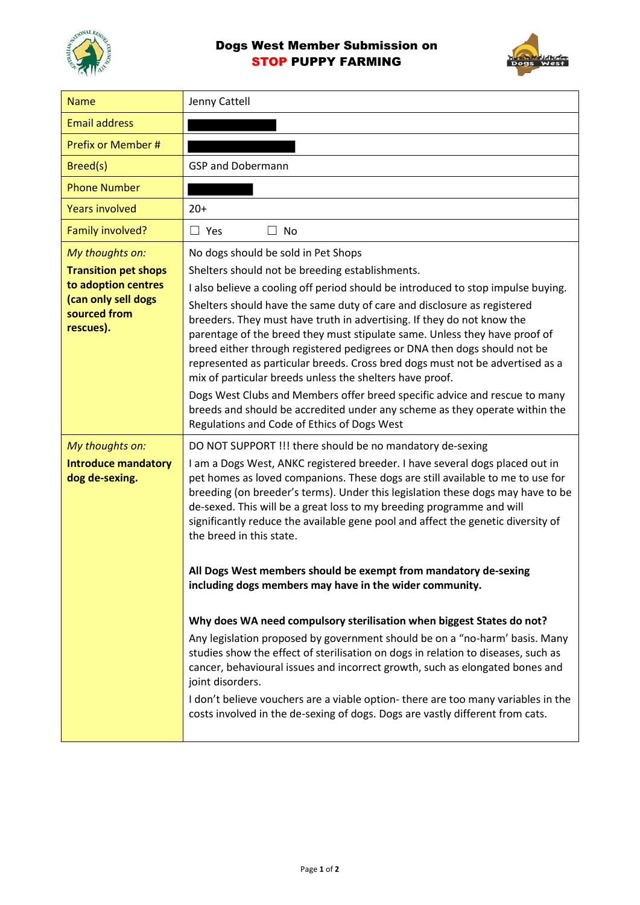



| <b>Name</b>                                                             | Jenny Cattell                                                                                                                                                                                                                                                                                                                                                                                                                                                                                                                                                                                                                                                                                                                                            |
|-------------------------------------------------------------------------|----------------------------------------------------------------------------------------------------------------------------------------------------------------------------------------------------------------------------------------------------------------------------------------------------------------------------------------------------------------------------------------------------------------------------------------------------------------------------------------------------------------------------------------------------------------------------------------------------------------------------------------------------------------------------------------------------------------------------------------------------------|
| <b>Email address</b>                                                    |                                                                                                                                                                                                                                                                                                                                                                                                                                                                                                                                                                                                                                                                                                                                                          |
| Prefix or Member #                                                      |                                                                                                                                                                                                                                                                                                                                                                                                                                                                                                                                                                                                                                                                                                                                                          |
| Breed(s)                                                                | <b>GSP and Dobermann</b>                                                                                                                                                                                                                                                                                                                                                                                                                                                                                                                                                                                                                                                                                                                                 |
| <b>Phone Number</b>                                                     |                                                                                                                                                                                                                                                                                                                                                                                                                                                                                                                                                                                                                                                                                                                                                          |
| <b>Years involved</b>                                                   | $20+$                                                                                                                                                                                                                                                                                                                                                                                                                                                                                                                                                                                                                                                                                                                                                    |
| Family involved?                                                        | $\Box$ Yes<br>$\Box$<br>No                                                                                                                                                                                                                                                                                                                                                                                                                                                                                                                                                                                                                                                                                                                               |
| My thoughts on:                                                         | No dogs should be sold in Pet Shops                                                                                                                                                                                                                                                                                                                                                                                                                                                                                                                                                                                                                                                                                                                      |
| <b>Transition pet shops</b>                                             | Shelters should not be breeding establishments.                                                                                                                                                                                                                                                                                                                                                                                                                                                                                                                                                                                                                                                                                                          |
| to adoption centres<br>(can only sell dogs<br>sourced from<br>rescues). | I also believe a cooling off period should be introduced to stop impulse buying.<br>Shelters should have the same duty of care and disclosure as registered<br>breeders. They must have truth in advertising. If they do not know the<br>parentage of the breed they must stipulate same. Unless they have proof of<br>breed either through registered pedigrees or DNA then dogs should not be<br>represented as particular breeds. Cross bred dogs must not be advertised as a<br>mix of particular breeds unless the shelters have proof.<br>Dogs West Clubs and Members offer breed specific advice and rescue to many<br>breeds and should be accredited under any scheme as they operate within the<br>Regulations and Code of Ethics of Dogs West |
| My thoughts on:                                                         | DO NOT SUPPORT !!! there should be no mandatory de-sexing                                                                                                                                                                                                                                                                                                                                                                                                                                                                                                                                                                                                                                                                                                |
| <b>Introduce mandatory</b><br>dog de-sexing.                            | I am a Dogs West, ANKC registered breeder. I have several dogs placed out in<br>pet homes as loved companions. These dogs are still available to me to use for<br>breeding (on breeder's terms). Under this legislation these dogs may have to be<br>de-sexed. This will be a great loss to my breeding programme and will<br>significantly reduce the available gene pool and affect the genetic diversity of<br>the breed in this state.                                                                                                                                                                                                                                                                                                               |
|                                                                         | All Dogs West members should be exempt from mandatory de-sexing<br>including dogs members may have in the wider community.                                                                                                                                                                                                                                                                                                                                                                                                                                                                                                                                                                                                                               |
|                                                                         | Why does WA need compulsory sterilisation when biggest States do not?                                                                                                                                                                                                                                                                                                                                                                                                                                                                                                                                                                                                                                                                                    |
|                                                                         | Any legislation proposed by government should be on a "no-harm' basis. Many<br>studies show the effect of sterilisation on dogs in relation to diseases, such as<br>cancer, behavioural issues and incorrect growth, such as elongated bones and<br>joint disorders.                                                                                                                                                                                                                                                                                                                                                                                                                                                                                     |
|                                                                         | I don't believe vouchers are a viable option- there are too many variables in the<br>costs involved in the de-sexing of dogs. Dogs are vastly different from cats.                                                                                                                                                                                                                                                                                                                                                                                                                                                                                                                                                                                       |